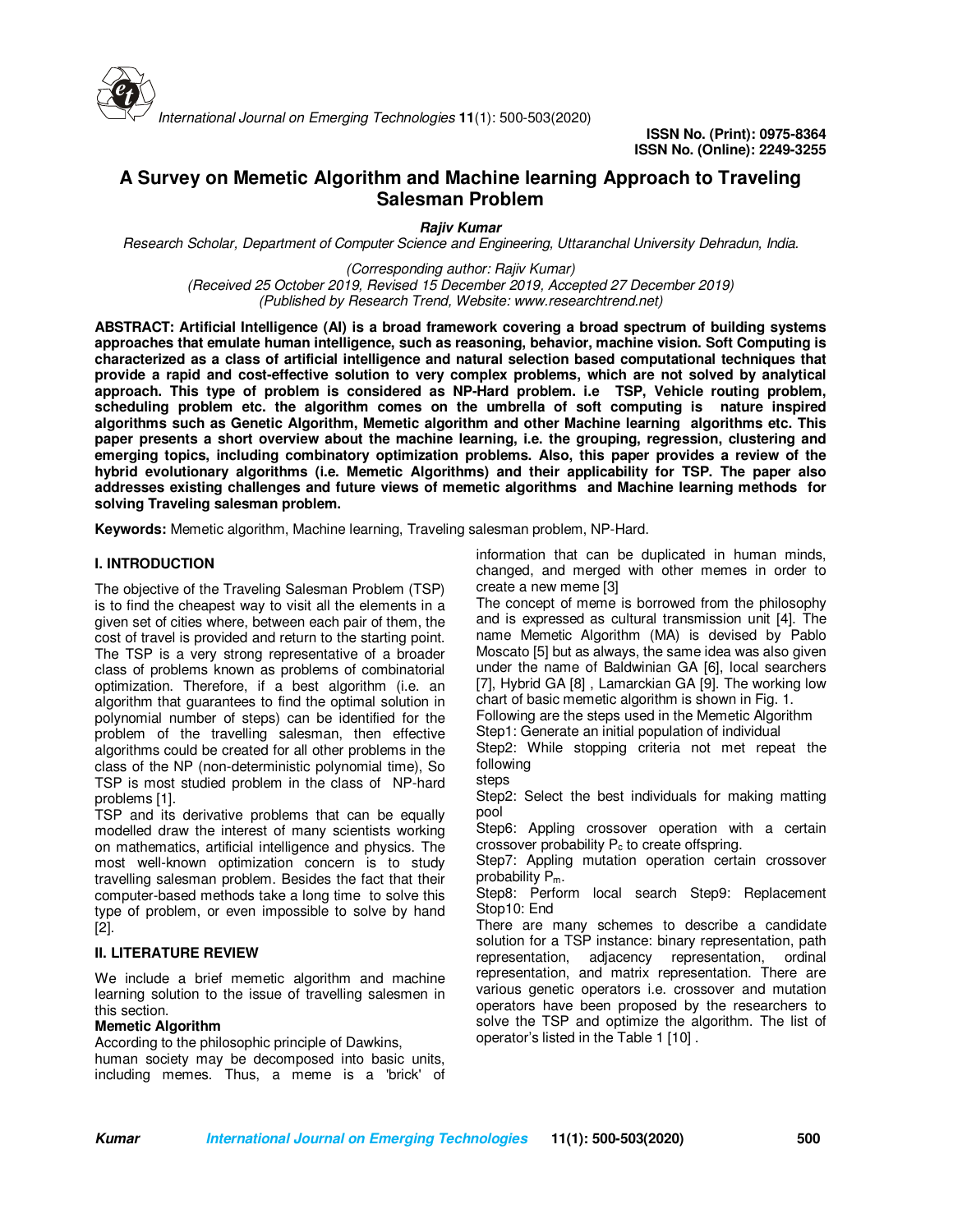

# **A Survey on Memetic Algorithm and Machine learning Approach to Traveling Salesman Problem**

**Rajiv Kumar**

*Research Scholar, Department of Computer Science and Engineering, Uttaranchal University Dehradun, India.* 

*(Corresponding author: Rajiv Kumar) (Received 25 October 2019, Revised 15 December 2019, Accepted 27 December 2019) (Published by Research Trend, Website: www.researchtrend.net)*

**ABSTRACT: Artificial Intelligence (AI) is a broad framework covering a broad spectrum of building systems approaches that emulate human intelligence, such as reasoning, behavior, machine vision. Soft Computing is characterized as a class of artificial intelligence and natural selection based computational techniques that provide a rapid and cost-effective solution to very complex problems, which are not solved by analytical approach. This type of problem is considered as NP-Hard problem. i.e TSP, Vehicle routing problem, scheduling problem etc. the algorithm comes on the umbrella of soft computing is nature inspired algorithms such as Genetic Algorithm, Memetic algorithm and other Machine learning algorithms etc. This paper presents a short overview about the machine learning, i.e. the grouping, regression, clustering and emerging topics, including combinatory optimization problems. Also, this paper provides a review of the hybrid evolutionary algorithms (i.e. Memetic Algorithms) and their applicability for TSP. The paper also addresses existing challenges and future views of memetic algorithms and Machine learning methods for solving Traveling salesman problem.** 

**Keywords:** Memetic algorithm, Machine learning, Traveling salesman problem, NP-Hard.

#### **I. INTRODUCTION**

The objective of the Traveling Salesman Problem (TSP) is to find the cheapest way to visit all the elements in a given set of cities where, between each pair of them, the cost of travel is provided and return to the starting point. The TSP is a very strong representative of a broader class of problems known as problems of combinatorial optimization. Therefore, if a best algorithm (i.e. an algorithm that guarantees to find the optimal solution in polynomial number of steps) can be identified for the problem of the travelling salesman, then effective algorithms could be created for all other problems in the class of the NP (non-deterministic polynomial time), So TSP is most studied problem in the class of NP-hard problems [1].

TSP and its derivative problems that can be equally modelled draw the interest of many scientists working on mathematics, artificial intelligence and physics. The most well-known optimization concern is to study travelling salesman problem. Besides the fact that their computer-based methods take a long time to solve this type of problem, or even impossible to solve by hand [2].

#### **II. LITERATURE REVIEW**

We include a brief memetic algorithm and machine learning solution to the issue of travelling salesmen in this section.

#### **Memetic Algorithm**

According to the philosophic principle of Dawkins, human society may be decomposed into basic units, including memes. Thus, a meme is a 'brick' of information that can be duplicated in human minds, changed, and merged with other memes in order to create a new meme [3]

The concept of meme is borrowed from the philosophy and is expressed as cultural transmission unit [4]. The name Memetic Algorithm (MA) is devised by Pablo Moscato [5] but as always, the same idea was also given under the name of Baldwinian GA [6], local searchers [7], Hybrid GA [8] , Lamarckian GA [9]. The working low chart of basic memetic algorithm is shown in Fig. 1.

Following are the steps used in the Memetic Algorithm

Step1: Generate an initial population of individual Step2: While stopping criteria not met repeat the following

steps

Step2: Select the best individuals for making matting pool

Step6: Appling crossover operation with a certain crossover probability  $P_c$  to create offspring.

Step7: Appling mutation operation certain crossover probability Pm.

Step8: Perform local search Step9: Replacement Stop10: End

There are many schemes to describe a candidate solution for a TSP instance: binary representation, path representation, adjacency representation, ordinal representation, and matrix representation. There are various genetic operators i.e. crossover and mutation operators have been proposed by the researchers to solve the TSP and optimize the algorithm. The list of operator's listed in the Table 1 [10] .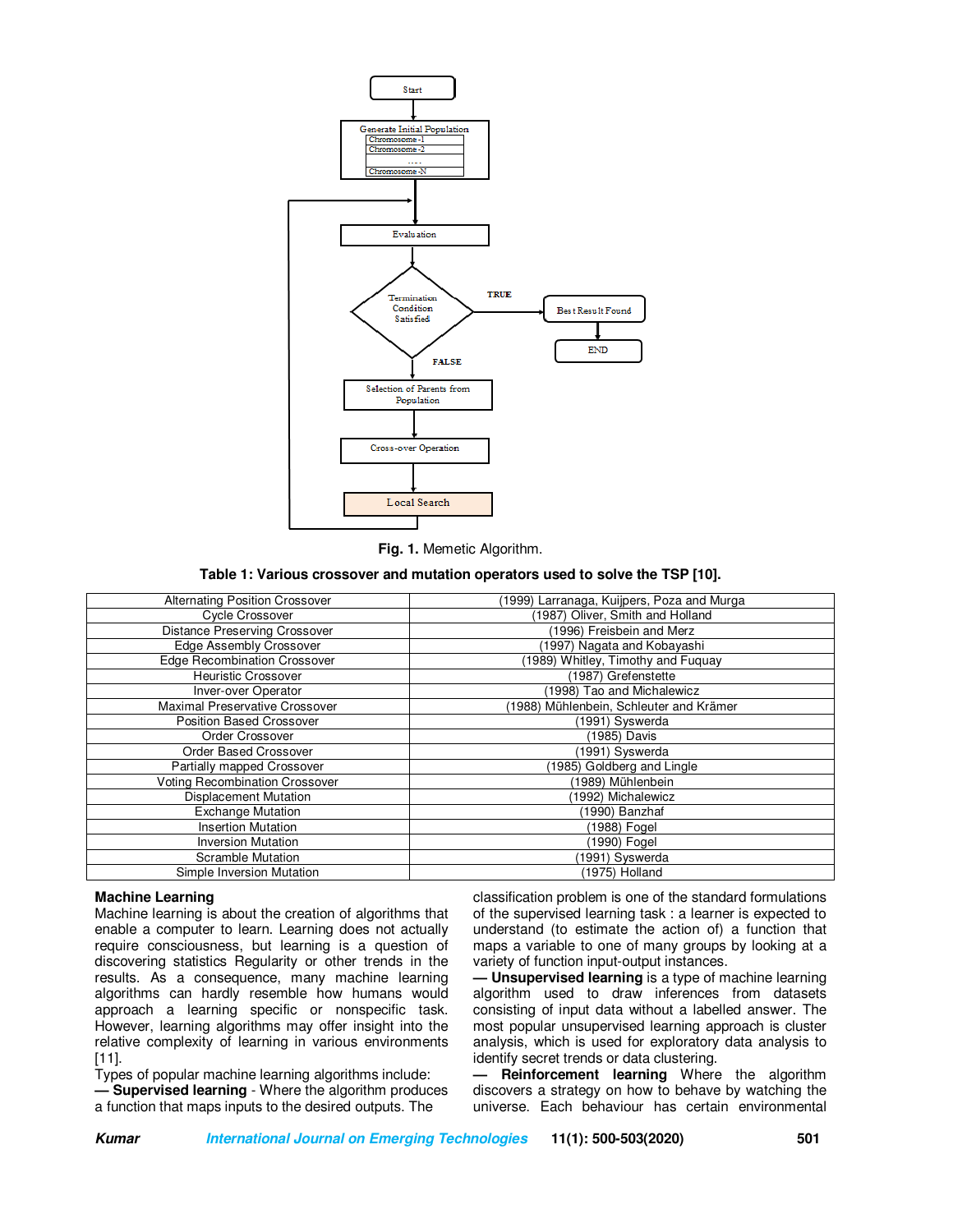

**Fig. 1.** Memetic Algorithm.

**Table 1: Various crossover and mutation operators used to solve the TSP [10].**

| <b>Alternating Position Crossover</b> | (1999) Larranaga, Kuijpers, Poza and Murga |
|---------------------------------------|--------------------------------------------|
| Cycle Crossover                       | (1987) Oliver, Smith and Holland           |
| <b>Distance Preserving Crossover</b>  | (1996) Freisbein and Merz                  |
| Edge Assembly Crossover               | (1997) Nagata and Kobayashi                |
| <b>Edge Recombination Crossover</b>   | (1989) Whitley, Timothy and Fuquay         |
| <b>Heuristic Crossover</b>            | (1987) Grefenstette                        |
| Inver-over Operator                   | (1998) Tao and Michalewicz                 |
| Maximal Preservative Crossover        | 1988) Mühlenbein, Schleuter and Krämer     |
| Position Based Crossover              | (1991) Syswerda                            |
| Order Crossover                       | (1985) Davis                               |
| Order Based Crossover                 | (1991) Syswerda                            |
| Partially mapped Crossover            | (1985) Goldberg and Lingle                 |
| <b>Voting Recombination Crossover</b> | (1989) Mühlenbein                          |
| <b>Displacement Mutation</b>          | (1992) Michalewicz                         |
| <b>Exchange Mutation</b>              | (1990) Banzhaf                             |
| <b>Insertion Mutation</b>             | (1988) Fogel                               |
| <b>Inversion Mutation</b>             | (1990) Fogel                               |
| <b>Scramble Mutation</b>              | (1991) Syswerda                            |
| Simple Inversion Mutation             | (1975) Holland                             |

### **Machine Learning**

Machine learning is about the creation of algorithms that enable a computer to learn. Learning does not actually require consciousness, but learning is a question of discovering statistics Regularity or other trends in the results. As a consequence, many machine learning algorithms can hardly resemble how humans would approach a learning specific or nonspecific task. However, learning algorithms may offer insight into the relative complexity of learning in various environments [11].

Types of popular machine learning algorithms include:

**— Supervised learning** - Where the algorithm produces a function that maps inputs to the desired outputs. The

classification problem is one of the standard formulations of the supervised learning task : a learner is expected to understand (to estimate the action of) a function that maps a variable to one of many groups by looking at a variety of function input-output instances.

**— Unsupervised learning** is a type of machine learning algorithm used to draw inferences from datasets consisting of input data without a labelled answer. The most popular unsupervised learning approach is cluster analysis, which is used for exploratory data analysis to identify secret trends or data clustering.

**— Reinforcement learning** Where the algorithm discovers a strategy on how to behave by watching the universe. Each behaviour has certain environmental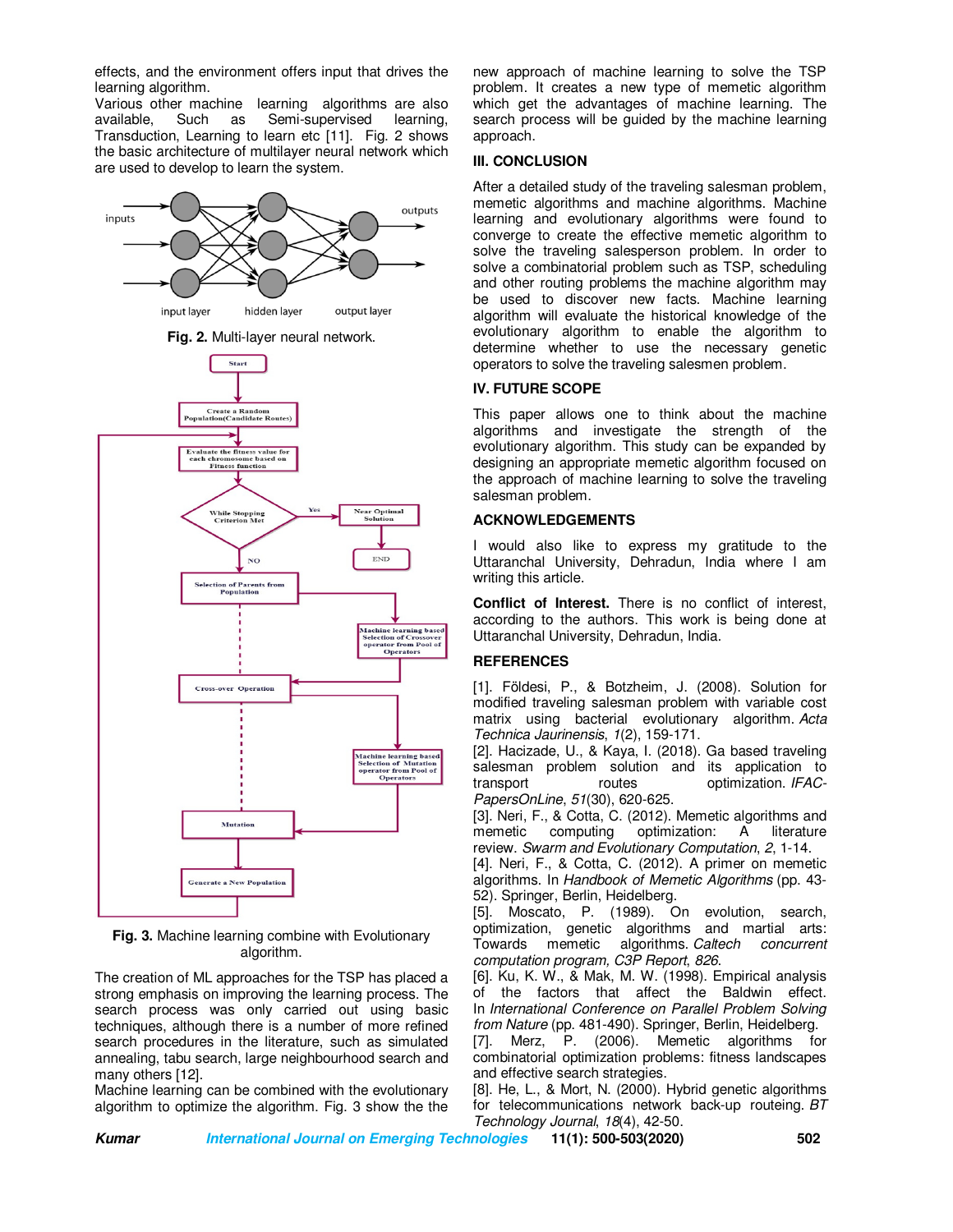effects, and the environment offers input that drives the learning algorithm.

Various other machine learning algorithms are also available, Such as Semi-supervised learning, Transduction, Learning to learn etc [11]. Fig. 2 shows the basic architecture of multilayer neural network which are used to develop to learn the system.







**Fig. 3.** Machine learning combine with Evolutionary algorithm.

The creation of ML approaches for the TSP has placed a strong emphasis on improving the learning process. The search process was only carried out using basic techniques, although there is a number of more refined search procedures in the literature, such as simulated annealing, tabu search, large neighbourhood search and many others [12].

Machine learning can be combined with the evolutionary algorithm to optimize the algorithm. Fig. 3 show the the

new approach of machine learning to solve the TSP problem. It creates a new type of memetic algorithm which get the advantages of machine learning. The search process will be guided by the machine learning approach.

### **III. CONCLUSION**

After a detailed study of the traveling salesman problem, memetic algorithms and machine algorithms. Machine learning and evolutionary algorithms were found to converge to create the effective memetic algorithm to solve the traveling salesperson problem. In order to solve a combinatorial problem such as TSP, scheduling and other routing problems the machine algorithm may be used to discover new facts. Machine learning algorithm will evaluate the historical knowledge of the evolutionary algorithm to enable the algorithm to determine whether to use the necessary genetic operators to solve the traveling salesmen problem.

## **IV. FUTURE SCOPE**

This paper allows one to think about the machine algorithms and investigate the strength of the evolutionary algorithm. This study can be expanded by designing an appropriate memetic algorithm focused on the approach of machine learning to solve the traveling salesman problem.

## **ACKNOWLEDGEMENTS**

I would also like to express my gratitude to the Uttaranchal University, Dehradun, India where I am writing this article.

**Conflict of Interest.** There is no conflict of interest, according to the authors. This work is being done at Uttaranchal University, Dehradun, India.

## **REFERENCES**

[1]. Földesi, P., & Botzheim, J. (2008). Solution for modified traveling salesman problem with variable cost matrix using bacterial evolutionary algorithm. *Acta Technica Jaurinensis*, *1*(2), 159-171.

[2]. Hacizade, U., & Kaya, I. (2018). Ga based traveling salesman problem solution and its application to transport routes optimization. *IFAC-PapersOnLine*, *51*(30), 620-625.

[3]. Neri, F., & Cotta, C. (2012). Memetic algorithms and memetic computing optimization: A literature review. *Swarm and Evolutionary Computation*, *2*, 1-14.

[4]. Neri, F., & Cotta, C. (2012). A primer on memetic algorithms. In *Handbook of Memetic Algorithms* (pp. 43- 52). Springer, Berlin, Heidelberg.

[5]. Moscato, P. (1989). On evolution, search, optimization, genetic algorithms and martial arts: Towards memetic algorithms. *Caltech concurrent computation program, C3P Report*, *826*.

[6]. Ku, K. W., & Mak, M. W. (1998). Empirical analysis of the factors that affect the Baldwin effect. In *International Conference on Parallel Problem Solving from Nature* (pp. 481-490). Springer, Berlin, Heidelberg.

[7]. Merz, P. (2006). Memetic algorithms for combinatorial optimization problems: fitness landscapes and effective search strategies.

[8]. He, L., & Mort, N. (2000). Hybrid genetic algorithms for telecommunications network back-up routeing. *BT Technology Journal*, *18*(4), 42-50.